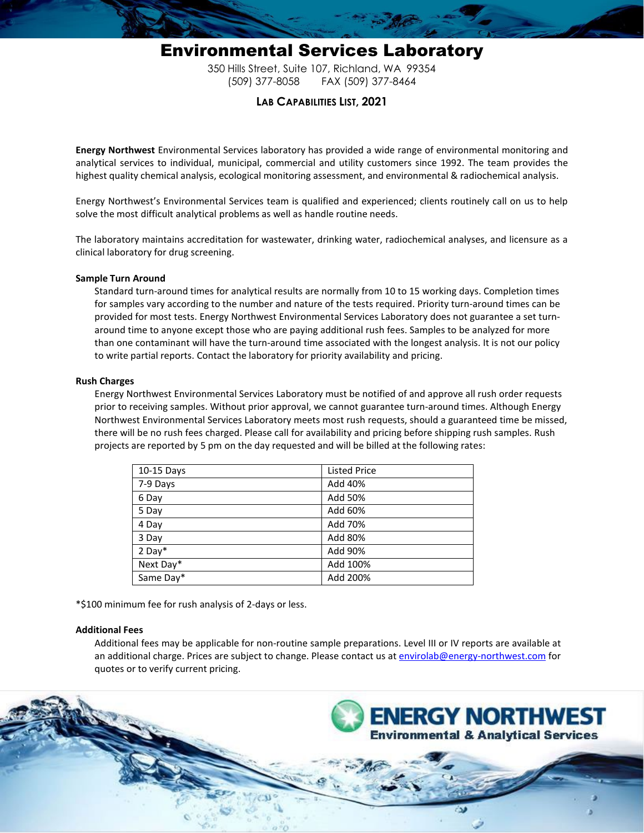## Environmental Services Laboratory 350 Hills Street, Suite 107, Richland, WA 99354 (509) 377-8058 FAX (509) 377-8464

### **LAB CAPABILITIES LIST, 2021**

**Energy Northwest** Environmental Services laboratory has provided a wide range of environmental monitoring and analytical services to individual, municipal, commercial and utility customers since 1992. The team provides the highest quality chemical analysis, ecological monitoring assessment, and environmental & radiochemical analysis.

Energy Northwest's Environmental Services team is qualified and experienced; clients routinely call on us to help solve the most difficult analytical problems as well as handle routine needs.

The laboratory maintains accreditation for wastewater, drinking water, radiochemical analyses, and licensure as a clinical laboratory for drug screening.

#### **Sample Turn Around**

Standard turn-around times for analytical results are normally from 10 to 15 working days. Completion times for samples vary according to the number and nature of the tests required. Priority turn-around times can be provided for most tests. Energy Northwest Environmental Services Laboratory does not guarantee a set turnaround time to anyone except those who are paying additional rush fees. Samples to be analyzed for more than one contaminant will have the turn-around time associated with the longest analysis. It is not our policy to write partial reports. Contact the laboratory for priority availability and pricing.

#### **Rush Charges**

Energy Northwest Environmental Services Laboratory must be notified of and approve all rush order requests prior to receiving samples. Without prior approval, we cannot guarantee turn-around times. Although Energy Northwest Environmental Services Laboratory meets most rush requests, should a guaranteed time be missed, there will be no rush fees charged. Please call for availability and pricing before shipping rush samples. Rush projects are reported by 5 pm on the day requested and will be billed at the following rates:

| 10-15 Days | <b>Listed Price</b> |
|------------|---------------------|
| 7-9 Days   | Add 40%             |
| 6 Day      | Add 50%             |
| 5 Day      | Add 60%             |
| 4 Day      | Add 70%             |
| 3 Day      | Add 80%             |
| $2$ Day*   | Add 90%             |
| Next Day*  | Add 100%            |
| Same Day*  | Add 200%            |

\*\$100 minimum fee for rush analysis of 2-days or less.

#### **Additional Fees**

Additional fees may be applicable for non-routine sample preparations. Level III or IV reports are available at an additional charge. Prices are subject to change. Please contact us a[t envirolab@energy-northwest.com](mailto:envirolab@energy-northwest.com) for quotes or to verify current pricing.

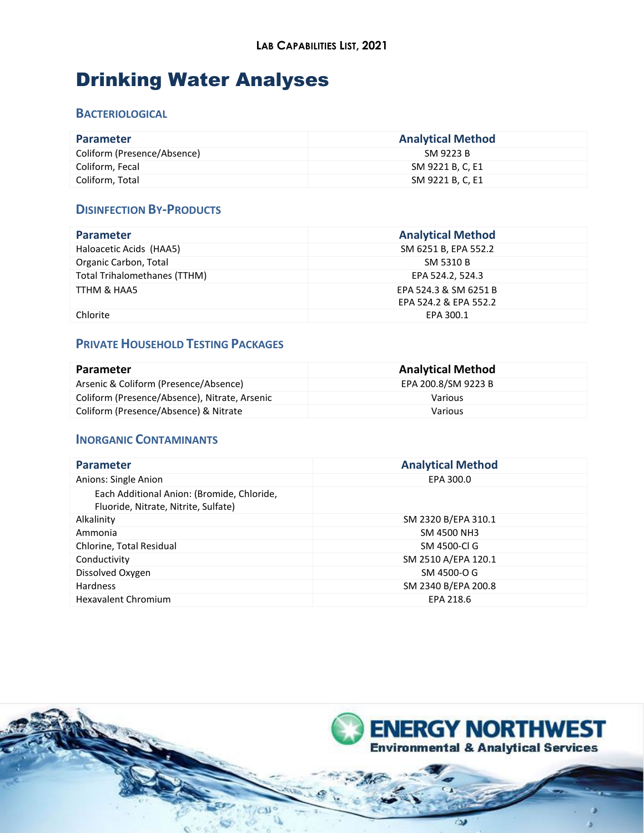## Drinking Water Analyses

### **BACTERIOLOGICAL**

| <b>Parameter</b>            | <b>Analytical Method</b> |
|-----------------------------|--------------------------|
| Coliform (Presence/Absence) | SM 9223 B                |
| Coliform, Fecal             | SM 9221 B, C, E1         |
| Coliform, Total             | SM 9221 B, C, E1         |

### **DISINFECTION BY-PRODUCTS**

| <b>Parameter</b>             | <b>Analytical Method</b> |
|------------------------------|--------------------------|
| Haloacetic Acids (HAA5)      | SM 6251 B, EPA 552.2     |
| Organic Carbon, Total        | SM 5310 B                |
| Total Trihalomethanes (TTHM) | EPA 524.2, 524.3         |
| TTHM & HAA5                  | EPA 524.3 & SM 6251 B    |
|                              | EPA 524.2 & EPA 552.2    |
| Chlorite                     | EPA 300.1                |

## **PRIVATE HOUSEHOLD TESTING PACKAGES**

| <b>Parameter</b>                              | <b>Analytical Method</b> |
|-----------------------------------------------|--------------------------|
| Arsenic & Coliform (Presence/Absence)         | EPA 200.8/SM 9223 B      |
| Coliform (Presence/Absence), Nitrate, Arsenic | Various                  |
| Coliform (Presence/Absence) & Nitrate         | Various                  |

### **INORGANIC CONTAMINANTS**

| <b>Analytical Method</b> |
|--------------------------|
| EPA 300.0                |
|                          |
| SM 2320 B/EPA 310.1      |
| SM 4500 NH3              |
| SM 4500-CLG              |
| SM 2510 A/EPA 120.1      |
| SM 4500-O G              |
| SM 2340 B/EPA 200.8      |
| EPA 218.6                |
|                          |

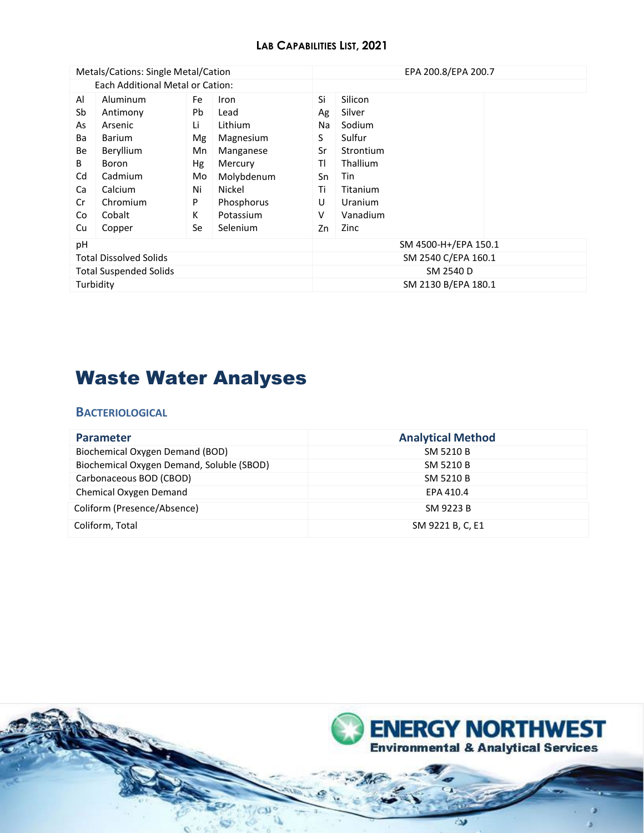### **LAB CAPABILITIES LIST, 2021**

| Metals/Cations: Single Metal/Cation |               |    | EPA 200.8/EPA 200.7  |    |                     |  |
|-------------------------------------|---------------|----|----------------------|----|---------------------|--|
| Each Additional Metal or Cation:    |               |    |                      |    |                     |  |
| Al                                  | Aluminum      | Fe | Iron                 | Si | Silicon             |  |
| Sb                                  | Antimony      | Pb | Lead                 | Ag | Silver              |  |
| As                                  | Arsenic       | Li | Lithium              | Na | Sodium              |  |
| Ba                                  | <b>Barium</b> | Mg | Magnesium            | S  | Sulfur              |  |
| Be                                  | Beryllium     | Mn | Manganese            | Sr | Strontium           |  |
| B                                   | Boron         | Hg | Mercury              | ΤI | Thallium            |  |
| Cd                                  | Cadmium       | Mo | Molybdenum           | Sn | Tin                 |  |
| Ca                                  | Calcium       | Ni | Nickel               | Τi | Titanium            |  |
| Cr                                  | Chromium      | P  | Phosphorus           | U  | Uranium             |  |
| Co                                  | Cobalt        | K  | Potassium            | v  | Vanadium            |  |
| Cu                                  | Copper        | Se | Selenium             | Zn | Zinc                |  |
| pH                                  |               |    | SM 4500-H+/EPA 150.1 |    |                     |  |
| <b>Total Dissolved Solids</b>       |               |    | SM 2540 C/EPA 160.1  |    |                     |  |
| <b>Total Suspended Solids</b>       |               |    | SM 2540 D            |    |                     |  |
| Turbidity                           |               |    |                      |    | SM 2130 B/EPA 180.1 |  |

# Waste Water Analyses

### **BACTERIOLOGICAL**

| <b>Parameter</b>                          | <b>Analytical Method</b> |
|-------------------------------------------|--------------------------|
| Biochemical Oxygen Demand (BOD)           | SM 5210 B                |
| Biochemical Oxygen Demand, Soluble (SBOD) | SM 5210 B                |
| Carbonaceous BOD (CBOD)                   | SM 5210 B                |
| Chemical Oxygen Demand                    | EPA 410.4                |
| Coliform (Presence/Absence)               | SM 9223 B                |
| Coliform, Total                           | SM 9221 B, C, E1         |

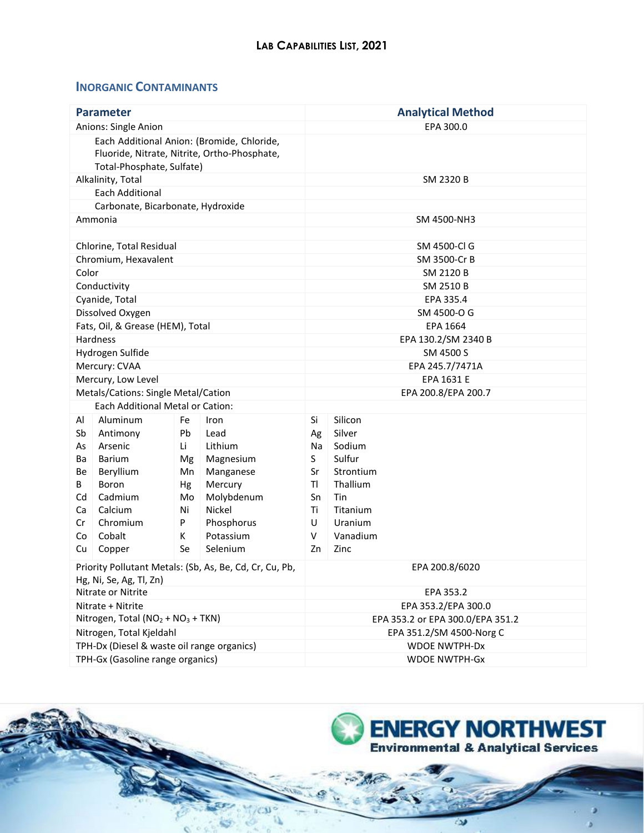### **INORGANIC CONTAMINANTS**

| <b>Parameter</b>                                                                                                        |                                     |          |                      |                     | <b>Analytical Method</b>         |  |
|-------------------------------------------------------------------------------------------------------------------------|-------------------------------------|----------|----------------------|---------------------|----------------------------------|--|
| Anions: Single Anion                                                                                                    |                                     |          |                      |                     | EPA 300.0                        |  |
| Each Additional Anion: (Bromide, Chloride,<br>Fluoride, Nitrate, Nitrite, Ortho-Phosphate,<br>Total-Phosphate, Sulfate) |                                     |          |                      |                     |                                  |  |
|                                                                                                                         | Alkalinity, Total                   |          |                      |                     | SM 2320 B                        |  |
|                                                                                                                         | <b>Each Additional</b>              |          |                      |                     |                                  |  |
|                                                                                                                         | Carbonate, Bicarbonate, Hydroxide   |          |                      |                     |                                  |  |
|                                                                                                                         | Ammonia                             |          |                      |                     | SM 4500-NH3                      |  |
|                                                                                                                         |                                     |          |                      |                     |                                  |  |
|                                                                                                                         | Chlorine, Total Residual            |          |                      |                     | SM 4500-Cl G                     |  |
|                                                                                                                         | Chromium, Hexavalent                |          |                      |                     | SM 3500-Cr B                     |  |
| Color                                                                                                                   |                                     |          |                      |                     | SM 2120 B                        |  |
|                                                                                                                         | Conductivity                        |          |                      |                     | SM 2510 B                        |  |
|                                                                                                                         | Cyanide, Total                      |          |                      |                     | EPA 335.4                        |  |
|                                                                                                                         | Dissolved Oxygen                    |          |                      |                     | SM 4500-O G                      |  |
|                                                                                                                         | Fats, Oil, & Grease (HEM), Total    |          |                      |                     | EPA 1664                         |  |
|                                                                                                                         | Hardness                            |          |                      | EPA 130.2/SM 2340 B |                                  |  |
|                                                                                                                         | Hydrogen Sulfide                    |          |                      | SM 4500 S           |                                  |  |
|                                                                                                                         | Mercury: CVAA                       |          |                      | EPA 245.7/7471A     |                                  |  |
|                                                                                                                         | Mercury, Low Level                  |          |                      |                     | EPA 1631 E                       |  |
|                                                                                                                         | Metals/Cations: Single Metal/Cation |          |                      |                     | EPA 200.8/EPA 200.7              |  |
|                                                                                                                         | Each Additional Metal or Cation:    |          |                      |                     |                                  |  |
| Al                                                                                                                      | Aluminum                            | Fe       | Iron                 | Si                  | Silicon                          |  |
| Sb                                                                                                                      | Antimony                            | Pb       | Lead                 | Ag                  | Silver                           |  |
| As                                                                                                                      | Arsenic                             | Li       | Lithium              | Na                  | Sodium                           |  |
| Ba                                                                                                                      | <b>Barium</b>                       | Mg       | Magnesium            | S.                  | Sulfur                           |  |
| Be                                                                                                                      | Beryllium                           | Mn       | Manganese            | Sr                  | Strontium                        |  |
| B                                                                                                                       | Boron                               | Hg       | Mercury              | TI.                 | Thallium                         |  |
| Cd<br>Ca                                                                                                                | Cadmium<br>Calcium                  | Mo<br>Ni | Molybdenum<br>Nickel | Sn<br>Τi            | Tin<br>Titanium                  |  |
| Cr                                                                                                                      | Chromium                            | P        | Phosphorus           | U                   | Uranium                          |  |
| Co                                                                                                                      | Cobalt                              | К        | Potassium            | V                   | Vanadium                         |  |
| Cu                                                                                                                      | Copper                              | Se       | Selenium             | Zn                  | Zinc                             |  |
|                                                                                                                         |                                     |          |                      |                     |                                  |  |
| Priority Pollutant Metals: (Sb, As, Be, Cd, Cr, Cu, Pb,                                                                 |                                     |          | EPA 200.8/6020       |                     |                                  |  |
| Hg, Ni, Se, Ag, Tl, Zn)                                                                                                 |                                     |          |                      |                     |                                  |  |
| Nitrate or Nitrite                                                                                                      |                                     |          |                      |                     | EPA 353.2                        |  |
|                                                                                                                         | Nitrate + Nitrite                   |          |                      |                     | EPA 353.2/EPA 300.0              |  |
| Nitrogen, Total ( $NO2 + NO3 + TKN$ )                                                                                   |                                     |          |                      |                     | EPA 353.2 or EPA 300.0/EPA 351.2 |  |
| Nitrogen, Total Kjeldahl<br>TPH-Dx (Diesel & waste oil range organics)                                                  |                                     |          |                      |                     | EPA 351.2/SM 4500-Norg C         |  |
|                                                                                                                         |                                     |          |                      |                     | <b>WDOE NWTPH-Dx</b>             |  |
| TPH-Gx (Gasoline range organics)                                                                                        |                                     |          |                      |                     | <b>WDOE NWTPH-Gx</b>             |  |

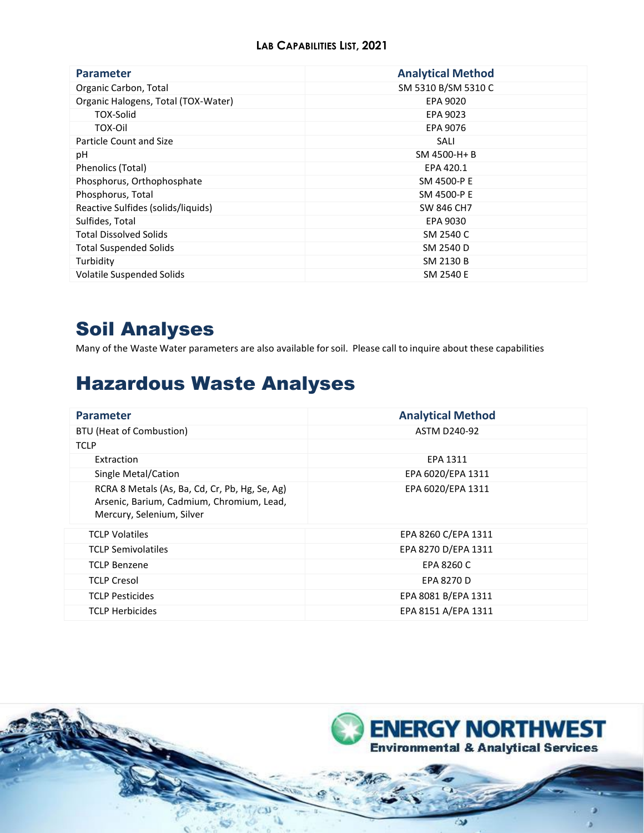| <b>Parameter</b>                    | <b>Analytical Method</b> |
|-------------------------------------|--------------------------|
| Organic Carbon, Total               | SM 5310 B/SM 5310 C      |
| Organic Halogens, Total (TOX-Water) | EPA 9020                 |
| TOX-Solid                           | EPA 9023                 |
| TOX-Oil                             | EPA 9076                 |
| Particle Count and Size             | SALI                     |
| рH                                  | SM 4500-H+B              |
| Phenolics (Total)                   | EPA 420.1                |
| Phosphorus, Orthophosphate          | SM 4500-P E              |
| Phosphorus, Total                   | SM 4500-P E              |
| Reactive Sulfides (solids/liquids)  | SW 846 CH7               |
| Sulfides, Total                     | EPA 9030                 |
| <b>Total Dissolved Solids</b>       | SM 2540 C                |
| <b>Total Suspended Solids</b>       | SM 2540 D                |
| Turbidity                           | SM 2130 B                |
| Volatile Suspended Solids           | SM 2540 E                |

## Soil Analyses

Many of the Waste Water parameters are also available forsoil. Please call to inquire about these capabilities

## Hazardous Waste Analyses

| <b>Parameter</b>                                                                                                         | <b>Analytical Method</b> |
|--------------------------------------------------------------------------------------------------------------------------|--------------------------|
| <b>BTU (Heat of Combustion)</b>                                                                                          | <b>ASTM D240-92</b>      |
| <b>TCLP</b>                                                                                                              |                          |
| Extraction                                                                                                               | EPA 1311                 |
| Single Metal/Cation                                                                                                      | EPA 6020/EPA 1311        |
| RCRA 8 Metals (As, Ba, Cd, Cr, Pb, Hg, Se, Ag)<br>Arsenic, Barium, Cadmium, Chromium, Lead,<br>Mercury, Selenium, Silver | EPA 6020/EPA 1311        |
| <b>TCLP Volatiles</b>                                                                                                    | EPA 8260 C/EPA 1311      |
| <b>TCLP Semivolatiles</b>                                                                                                | EPA 8270 D/EPA 1311      |
| <b>TCLP Benzene</b>                                                                                                      | FPA 8260 C               |
| <b>TCLP Cresol</b>                                                                                                       | EPA 8270 D               |
| <b>TCLP Pesticides</b>                                                                                                   | EPA 8081 B/EPA 1311      |
| <b>TCLP Herbicides</b>                                                                                                   | EPA 8151 A/EPA 1311      |

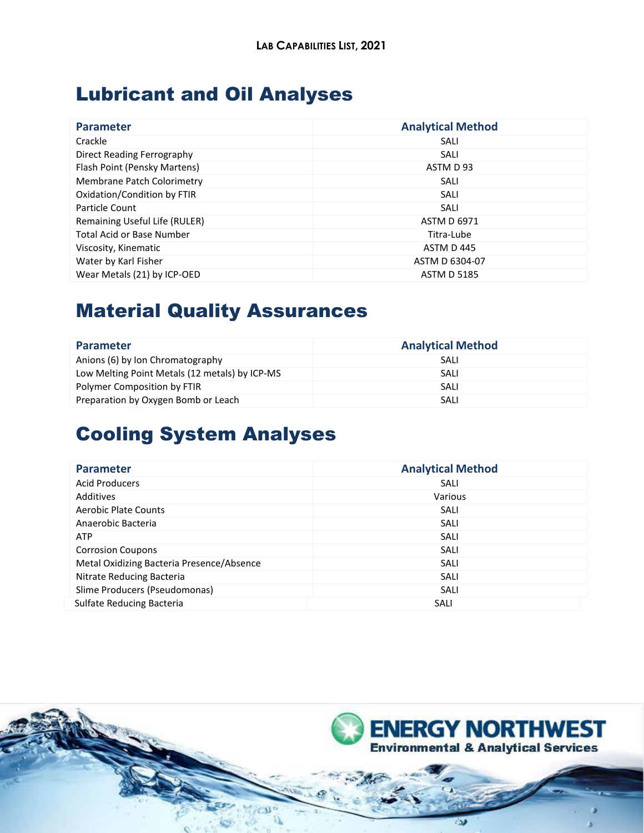## Lubricant and Oil Analyses

| <b>Parameter</b>                 | <b>Analytical Method</b> |
|----------------------------------|--------------------------|
|                                  |                          |
| Crackle                          | SALI                     |
| Direct Reading Ferrography       | SALI                     |
| Flash Point (Pensky Martens)     | ASTM D 93                |
| Membrane Patch Colorimetry       | SALI                     |
| Oxidation/Condition by FTIR      | SALI                     |
| Particle Count                   | SALI                     |
| Remaining Useful Life (RULER)    | <b>ASTM D 6971</b>       |
| <b>Total Acid or Base Number</b> | Titra-Lube               |
| Viscosity, Kinematic             | ASTM D 445               |
| Water by Karl Fisher             | ASTM D 6304-07           |
| Wear Metals (21) by ICP-OED      | <b>ASTM D 5185</b>       |

# Material Quality Assurances

| <b>Parameter</b>                               | <b>Analytical Method</b> |
|------------------------------------------------|--------------------------|
| Anions (6) by Ion Chromatography               | SALI                     |
| Low Melting Point Metals (12 metals) by ICP-MS | SALI                     |
| Polymer Composition by FTIR                    | SALI                     |
| Preparation by Oxygen Bomb or Leach            | SALI                     |

## Cooling System Analyses

| <b>Parameter</b>                          | <b>Analytical Method</b> |
|-------------------------------------------|--------------------------|
| <b>Acid Producers</b>                     | SALI                     |
| Additives                                 | Various                  |
| <b>Aerobic Plate Counts</b>               | SALI                     |
| Anaerobic Bacteria                        | SALI                     |
| <b>ATP</b>                                | SALI                     |
| <b>Corrosion Coupons</b>                  | SALI                     |
| Metal Oxidizing Bacteria Presence/Absence | SALI                     |
| Nitrate Reducing Bacteria                 | SALI                     |
| Slime Producers (Pseudomonas)             | SALI                     |
| Sulfate Reducing Bacteria                 | SALI                     |

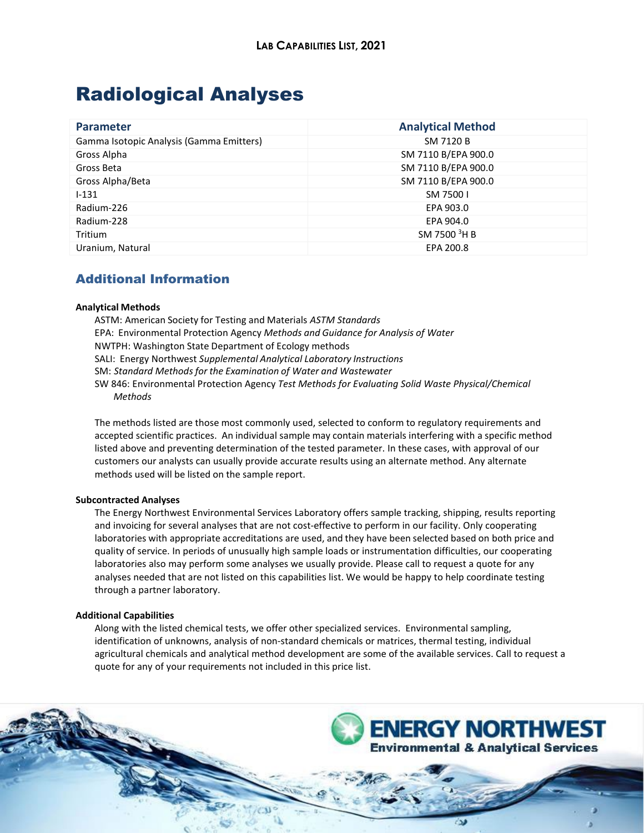## Radiological Analyses

| <b>Parameter</b>                         | <b>Analytical Method</b> |
|------------------------------------------|--------------------------|
| Gamma Isotopic Analysis (Gamma Emitters) | SM 7120 B                |
| Gross Alpha                              | SM 7110 B/EPA 900.0      |
| Gross Beta                               | SM 7110 B/EPA 900.0      |
| Gross Alpha/Beta                         | SM 7110 B/EPA 900.0      |
| $1 - 131$                                | SM 75001                 |
| Radium-226                               | EPA 903.0                |
| Radium-228                               | EPA 904.0                |
| Tritium                                  | SM 7500 <sup>3</sup> H B |
| Uranium, Natural                         | EPA 200.8                |

### Additional Information

#### **Analytical Methods**

ASTM: American Society for Testing and Materials *ASTM Standards* EPA: Environmental Protection Agency *Methods and Guidance for Analysis of Water* NWTPH: Washington State Department of Ecology methods SALI: Energy Northwest *Supplemental Analytical Laboratory Instructions* SM: *Standard Methods for the Examination of Water and Wastewater* SW 846: Environmental Protection Agency *Test Methods for Evaluating Solid Waste Physical/Chemical Methods*

The methods listed are those most commonly used, selected to conform to regulatory requirements and accepted scientific practices. An individual sample may contain materials interfering with a specific method listed above and preventing determination of the tested parameter. In these cases, with approval of our customers our analysts can usually provide accurate results using an alternate method. Any alternate methods used will be listed on the sample report.

### **Subcontracted Analyses**

The Energy Northwest Environmental Services Laboratory offers sample tracking, shipping, results reporting and invoicing for several analyses that are not cost-effective to perform in our facility. Only cooperating laboratories with appropriate accreditations are used, and they have been selected based on both price and quality of service. In periods of unusually high sample loads or instrumentation difficulties, our cooperating laboratories also may perform some analyses we usually provide. Please call to request a quote for any analyses needed that are not listed on this capabilities list. We would be happy to help coordinate testing through a partner laboratory.

### **Additional Capabilities**

Along with the listed chemical tests, we offer other specialized services. Environmental sampling, identification of unknowns, analysis of non-standard chemicals or matrices, thermal testing, individual agricultural chemicals and analytical method development are some of the available services. Call to request a quote for any of your requirements not included in this price list.